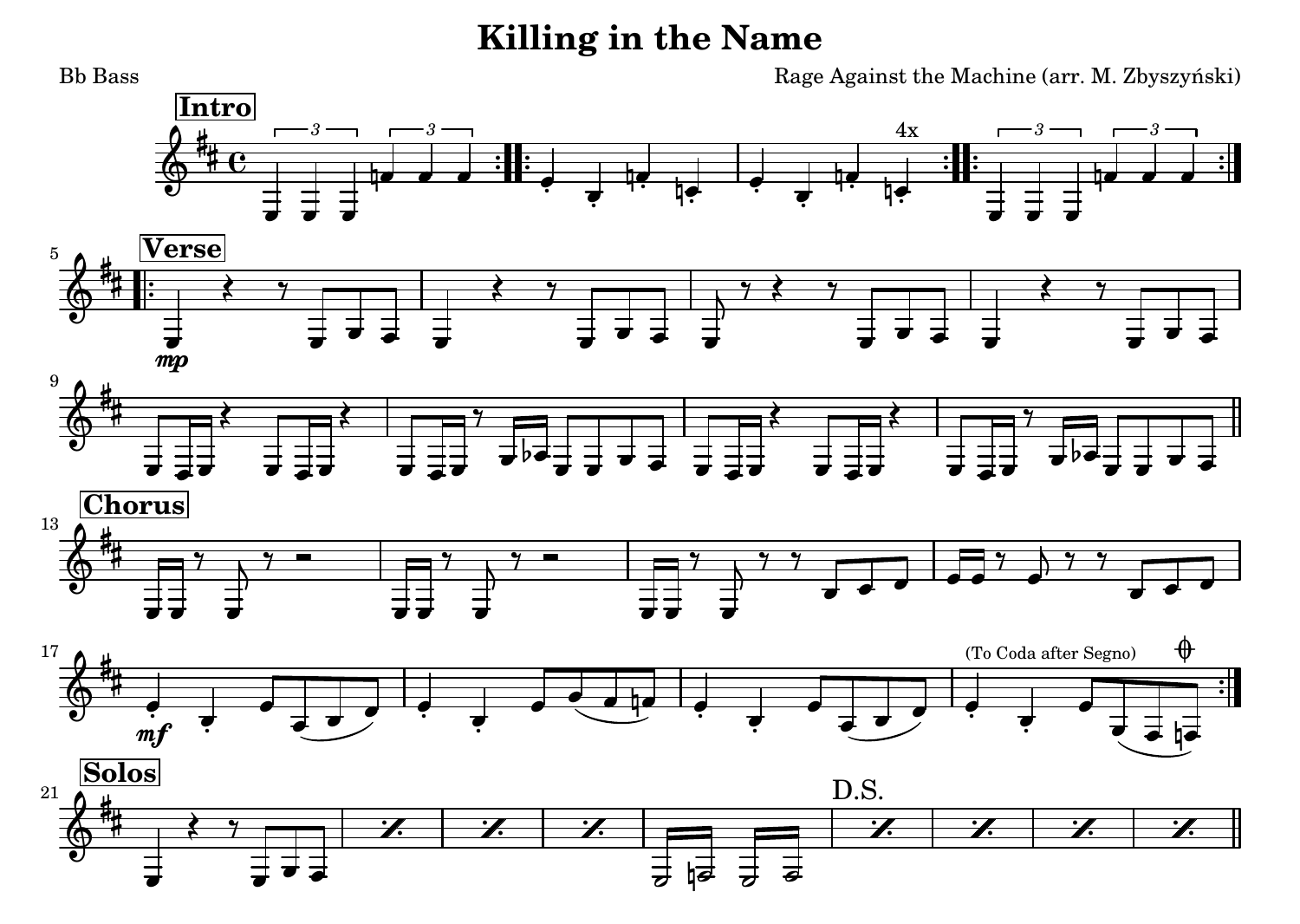## **Killing in the Name**

 Rage Against the Machine (arr. M. Zbyszyński) Bb Bass4 o o [4x](textedit:///tmp/killing_in_the_name.ly:216:28:28)O ዛ  $\cdot$  , o *[3](textedit:///tmp/killing_in_the_name.ly:223:4:4)*1  $\overline{\phantom{a}}$ o *[3](textedit:///tmp/killing_in_the_name.ly:220:4:4)*O O T O *[3](textedit:///tmp/killing_in_the_name.ly:206:4:4)*o *[3](textedit:///tmp/killing_in_the_name.ly:209:4:4)*1 # ‡ e **[Intro](textedit:///tmp/killing_in_the_name.ly:204:4:4)** $\frac{2}{9}$ O Ţ  $\natural$ o o o de li Septent o ç ō ਠ 7 ō o  $7$  ? ਡ 7 ō o   ō [mp](textedit:///tmp/killing_in_the_name.ly:232:8:8)7 5 **[Verse](textedit:///tmp/killing_in_the_name.ly:228:9:9)** $\frac{2}{9}$ # ļ. ø ਠ 7 ō ø ਡ ⇉  $\equiv$ Ì ō o ō ਰ  $\begin{array}{ccc} \star & \xrightarrow{\bullet} & \star \end{array}$ 7 ਰ ਰ ō b ਠ  $\overline{\phantom{a}}$ o 6 ō o 7 ø o  $\overline{\phantom{a}}$ 6 ≹ ŧ  $\frac{2}{9}$ 9ø ō Ì o O ø  $\overline{\phantom{a}}$  $\exists b$ 〃♥ ᠴ ┲ 7 ō 7 ਰ o 6 ہ  $\frac{7}{2}$   $\frac{7}{2}$ o o  $\frac{9}{2}$ ø 7 o o o o 6 Ø 7 o ₿ Ø Ħ  $\frac{13}{9}$ **[Chorus](textedit:///tmp/killing_in_the_name.ly:241:11:11)**o  $\frac{7}{2}$ ø o  $\overline{\phantom{a}}$ o ہ 7 z ó [\(To Coda after Segno\)](textedit:///tmp/killing_in_the_name.ly:249:10:10)マー・コ マ ブー・ ø ó ♦ 4 ç o a o ø ø a ø 17 $\frac{2}{9}$ Ħ Ħ ø ہ  $m$  $\cdot$  , , ø Ō  $\overline{\phantom{a}}$ ø ç  $\frac{1}{\epsilon}$ ó Oø[D.S.](textedit:///tmp/killing_in_the_name.ly:257:66:66)H  $\frac{2}{9}$  **[Solos](textedit:///tmp/killing_in_the_name.ly:253:9:9)**21 $\overline{\phantom{a}}$ o ø  $\frac{1}{2}$  $\overline{\phantom{a}}$  $\frac{1}{\sigma}$ ほ